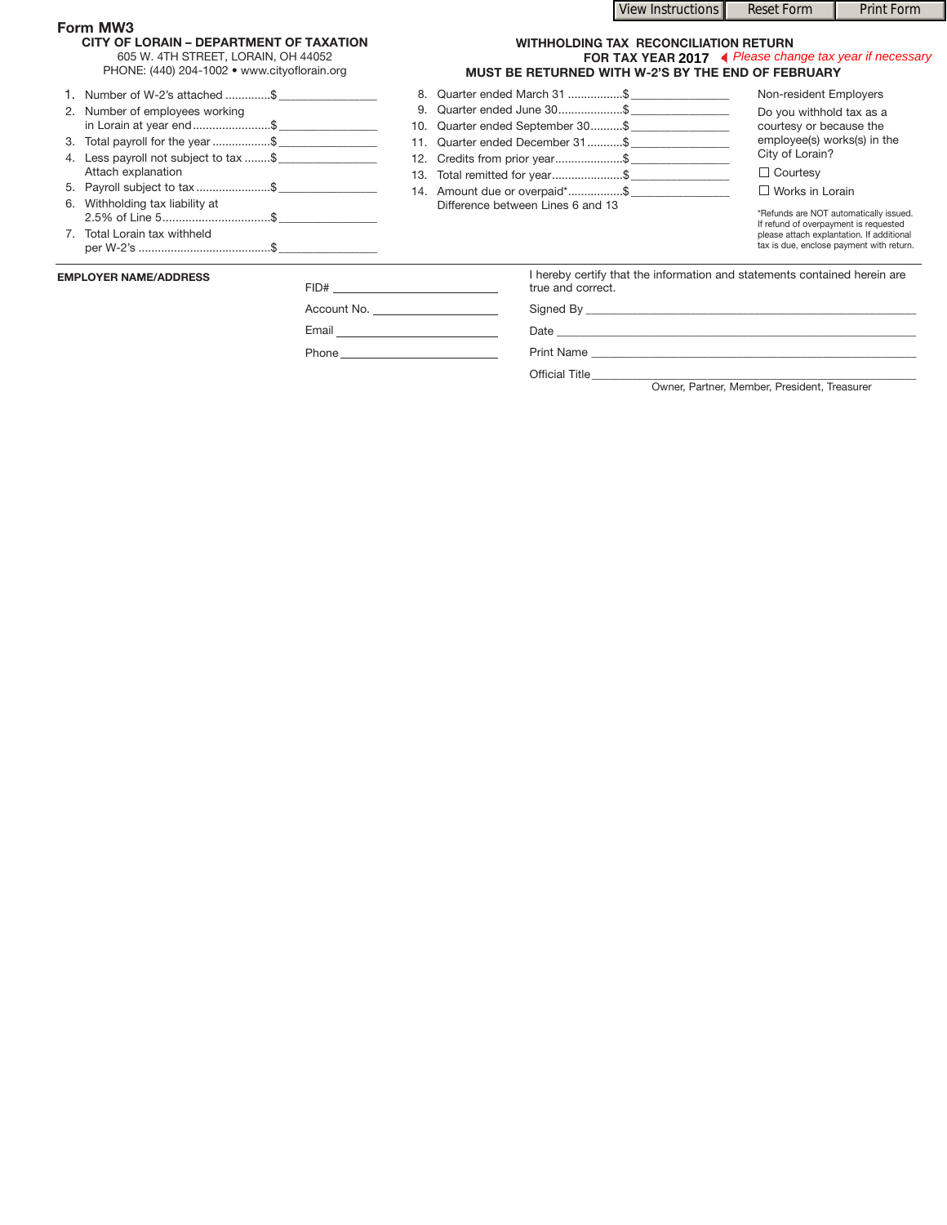## **Form MW3**

| CITY OF LORAIN - DEPARTMENT OF TAXATION |  |
|-----------------------------------------|--|
| OCF M1.4T1110T11TT T110D11N11111110F0   |  |

605 W. 4TH STREET, LORAIN, OH 44052

## **WITHHOLDING TAX RECONCILIATION RETURN FOR TAX YEAR MUST BE RETURNED WITH W-2'S BY THE END OF FEBRUARY 2017** ◆ Please change tax year if necessary

View Instructions **Reset Form Print Form** 

PHONE: (440) 204-1002 • www.cityoflorain.org

| <b>EMPLOYER NAME/ADDRESS</b><br>FID# |                                       | true and correct.                 | I hereby certify that the information and statements contained herein are             |
|--------------------------------------|---------------------------------------|-----------------------------------|---------------------------------------------------------------------------------------|
|                                      | 7. Total Lorain tax withheld          |                                   | please attach explantation. If additional<br>tax is due, enclose payment with return. |
|                                      | 6. Withholding tax liability at       | Difference between Lines 6 and 13 | *Refunds are NOT automatically issued.<br>If refund of overpayment is requested       |
|                                      | 5. Payroll subject to tax \$          | 14. Amount due or overpaid*\$     | $\Box$ Works in Lorain                                                                |
|                                      | Attach explanation                    | 13. Total remitted for year\$     | $\Box$ Courtesy                                                                       |
|                                      | 4. Less payroll not subject to tax \$ | 12. Credits from prior year\$     | City of Lorain?                                                                       |
|                                      | 3. Total payroll for the year\$       | 11. Quarter ended December 31\$   | employee(s) works(s) in the                                                           |
|                                      | in Lorain at year end\$               | 10. Quarter ended September 30 \$ | courtesy or because the                                                               |
|                                      | 2. Number of employees working        | 9. Quarter ended June 30\$        | Do you withhold tax as a                                                              |
|                                      | 1. Number of W-2's attached \$        | 8. Quarter ended March 31 \$      | Non-resident Employers                                                                |

Phone

Email

Account No. \_\_\_\_\_\_\_\_\_\_\_\_\_\_\_\_\_\_\_\_\_\_\_\_

Signed By \_\_\_\_\_\_\_\_\_\_\_\_\_\_\_\_\_\_\_\_\_\_\_\_\_\_\_\_\_\_\_\_\_\_\_\_\_\_\_\_\_\_\_\_\_\_\_\_\_\_\_\_\_\_\_\_\_

Date \_\_\_\_\_\_\_\_\_\_\_\_\_\_\_\_\_\_\_\_\_\_\_\_\_\_\_\_\_\_\_\_\_\_\_\_\_\_\_\_\_\_\_\_\_\_\_\_\_\_\_\_\_\_\_\_\_\_\_\_\_\_

Print Name

Official Title\_\_\_\_\_\_\_\_\_\_\_\_\_\_\_\_\_\_\_\_\_\_\_\_\_\_\_\_\_\_\_\_\_\_\_\_\_\_\_\_\_\_\_\_\_\_\_\_\_\_\_\_\_\_\_\_

Owner, Partner, Member, President, Treasurer